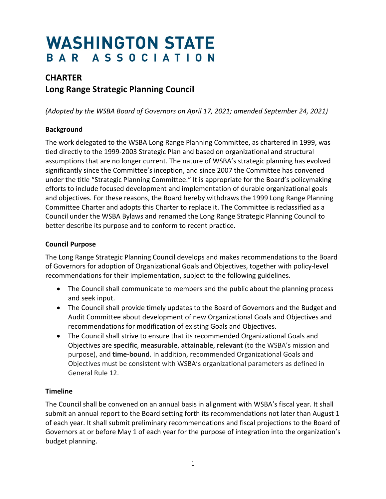# **WASHINGTON STATE** BAR ASSOCIATION

## **CHARTER Long Range Strategic Planning Council**

*(Adopted by the WSBA Board of Governors on April 17, 2021; amended September 24, 2021)*

#### **Background**

The work delegated to the WSBA Long Range Planning Committee, as chartered in 1999, was tied directly to the 1999-2003 Strategic Plan and based on organizational and structural assumptions that are no longer current. The nature of WSBA's strategic planning has evolved significantly since the Committee's inception, and since 2007 the Committee has convened under the title "Strategic Planning Committee." It is appropriate for the Board's policymaking efforts to include focused development and implementation of durable organizational goals and objectives. For these reasons, the Board hereby withdraws the 1999 Long Range Planning Committee Charter and adopts this Charter to replace it. The Committee is reclassified as a Council under the WSBA Bylaws and renamed the Long Range Strategic Planning Council to better describe its purpose and to conform to recent practice.

#### **Council Purpose**

The Long Range Strategic Planning Council develops and makes recommendations to the Board of Governors for adoption of Organizational Goals and Objectives, together with policy-level recommendations for their implementation, subject to the following guidelines.

- The Council shall communicate to members and the public about the planning process and seek input.
- The Council shall provide timely updates to the Board of Governors and the Budget and Audit Committee about development of new Organizational Goals and Objectives and recommendations for modification of existing Goals and Objectives.
- The Council shall strive to ensure that its recommended Organizational Goals and Objectives are **specific**, **measurable**, **attainable**, **relevant** (to the WSBA's mission and purpose), and **time-bound**. In addition, recommended Organizational Goals and Objectives must be consistent with WSBA's organizational parameters as defined in General Rule 12.

#### **Timeline**

The Council shall be convened on an annual basis in alignment with WSBA's fiscal year. It shall submit an annual report to the Board setting forth its recommendations not later than August 1 of each year. It shall submit preliminary recommendations and fiscal projections to the Board of Governors at or before May 1 of each year for the purpose of integration into the organization's budget planning.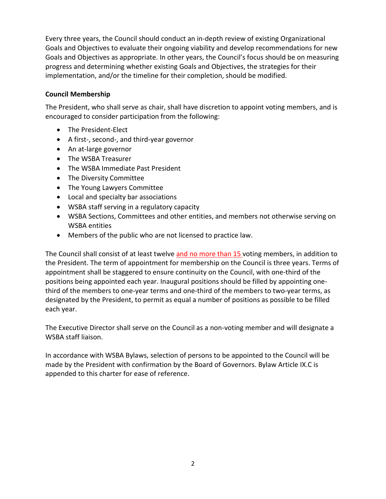Every three years, the Council should conduct an in-depth review of existing Organizational Goals and Objectives to evaluate their ongoing viability and develop recommendations for new Goals and Objectives as appropriate. In other years, the Council's focus should be on measuring progress and determining whether existing Goals and Objectives, the strategies for their implementation, and/or the timeline for their completion, should be modified.

#### **Council Membership**

The President, who shall serve as chair, shall have discretion to appoint voting members, and is encouraged to consider participation from the following:

- The President-Elect
- A first-, second-, and third-year governor
- An at-large governor
- The WSBA Treasurer
- The WSBA Immediate Past President
- The Diversity Committee
- The Young Lawyers Committee
- Local and specialty bar associations
- WSBA staff serving in a regulatory capacity
- WSBA Sections, Committees and other entities, and members not otherwise serving on WSBA entities
- Members of the public who are not licensed to practice law.

The Council shall consist of at least twelve and no more than 15 voting members, in addition to the President. The term of appointment for membership on the Council is three years. Terms of appointment shall be staggered to ensure continuity on the Council, with one-third of the positions being appointed each year. Inaugural positions should be filled by appointing onethird of the members to one-year terms and one-third of the members to two-year terms, as designated by the President, to permit as equal a number of positions as possible to be filled each year.

The Executive Director shall serve on the Council as a non-voting member and will designate a WSBA staff liaison.

In accordance with WSBA Bylaws, selection of persons to be appointed to the Council will be made by the President with confirmation by the Board of Governors. Bylaw Article IX.C is appended to this charter for ease of reference.